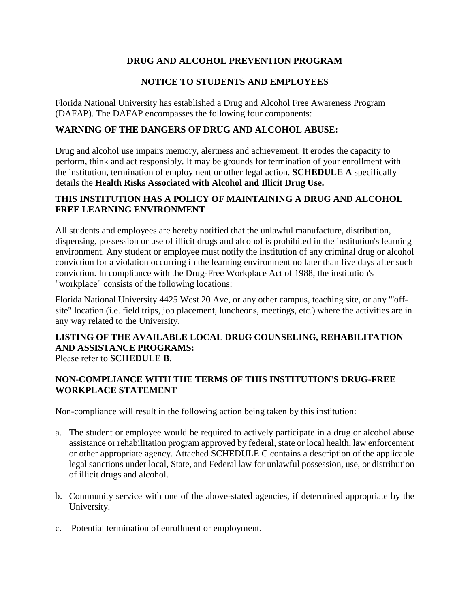# **DRUG AND ALCOHOL PREVENTION PROGRAM**

# **NOTICE TO STUDENTS AND EMPLOYEES**

Florida National University has established a Drug and Alcohol Free Awareness Program (DAFAP). The DAFAP encompasses the following four components:

#### **WARNING OF THE DANGERS OF DRUG AND ALCOHOL ABUSE:**

Drug and alcohol use impairs memory, alertness and achievement. It erodes the capacity to perform, think and act responsibly. It may be grounds for termination of your enrollment with the institution, termination of employment or other legal action. **SCHEDULE A** specifically details the **Health Risks Associated with Alcohol and Illicit Drug Use.**

## **THIS INSTITUTION HAS A POLICY OF MAINTAINING A DRUG AND ALCOHOL FREE LEARNING ENVIRONMENT**

All students and employees are hereby notified that the unlawful manufacture, distribution, dispensing, possession or use of illicit drugs and alcohol is prohibited in the institution's learning environment. Any student or employee must notify the institution of any criminal drug or alcohol conviction for a violation occurring in the learning environment no later than five days after such conviction. In compliance with the Drug-Free Workplace Act of 1988, the institution's "workplace" consists of the following locations:

Florida National University 4425 West 20 Ave, or any other campus, teaching site, or any "'offsite" location (i.e. field trips, job placement, luncheons, meetings, etc.) where the activities are in any way related to the University.

#### **LISTING OF THE AVAILABLE LOCAL DRUG COUNSELING, REHABILITATION AND ASSISTANCE PROGRAMS:** Please refer to **SCHEDULE B**.

## **NON-COMPLIANCE WITH THE TERMS OF THIS INSTITUTION'S DRUG-FREE WORKPLACE STATEMENT**

Non-compliance will result in the following action being taken by this institution:

- a. The student or employee would be required to actively participate in a drug or alcohol abuse assistance or rehabilitation program approved by federal, state or local health, law enforcement or other appropriate agency. Attached SCHEDULE C contains a description of the applicable legal sanctions under local, State, and Federal law for unlawful possession, use, or distribution of illicit drugs and alcohol.
- b. Community service with one of the above-stated agencies, if determined appropriate by the University.
- c. Potential termination of enrollment or employment.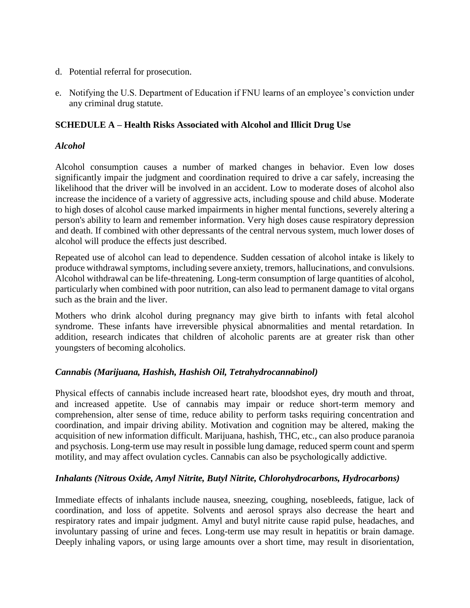- d. Potential referral for prosecution.
- e. Notifying the U.S. Department of Education if FNU learns of an employee's conviction under any criminal drug statute.

#### **SCHEDULE A – Health Risks Associated with Alcohol and Illicit Drug Use**

#### *Alcohol*

Alcohol consumption causes a number of marked changes in behavior. Even low doses significantly impair the judgment and coordination required to drive a car safely, increasing the likelihood that the driver will be involved in an accident. Low to moderate doses of alcohol also increase the incidence of a variety of aggressive acts, including spouse and child abuse. Moderate to high doses of alcohol cause marked impairments in higher mental functions, severely altering a person's ability to learn and remember information. Very high doses cause respiratory depression and death. If combined with other depressants of the central nervous system, much lower doses of alcohol will produce the effects just described.

Repeated use of alcohol can lead to dependence. Sudden cessation of alcohol intake is likely to produce withdrawal symptoms, including severe anxiety, tremors, hallucinations, and convulsions. Alcohol withdrawal can be life-threatening. Long-term consumption of large quantities of alcohol, particularly when combined with poor nutrition, can also lead to permanent damage to vital organs such as the brain and the liver.

Mothers who drink alcohol during pregnancy may give birth to infants with fetal alcohol syndrome. These infants have irreversible physical abnormalities and mental retardation. In addition, research indicates that children of alcoholic parents are at greater risk than other youngsters of becoming alcoholics.

#### *Cannabis (Marijuana, Hashish, Hashish Oil, Tetrahydrocannabinol)*

Physical effects of cannabis include increased heart rate, bloodshot eyes, dry mouth and throat, and increased appetite. Use of cannabis may impair or reduce short-term memory and comprehension, alter sense of time, reduce ability to perform tasks requiring concentration and coordination, and impair driving ability. Motivation and cognition may be altered, making the acquisition of new information difficult. Marijuana, hashish, THC, etc., can also produce paranoia and psychosis. Long-term use may result in possible lung damage, reduced sperm count and sperm motility, and may affect ovulation cycles. Cannabis can also be psychologically addictive.

## *Inhalants (Nitrous Oxide, Amyl Nitrite, Butyl Nitrite, Chlorohydrocarbons, Hydrocarbons)*

Immediate effects of inhalants include nausea, sneezing, coughing, nosebleeds, fatigue, lack of coordination, and loss of appetite. Solvents and aerosol sprays also decrease the heart and respiratory rates and impair judgment. Amyl and butyl nitrite cause rapid pulse, headaches, and involuntary passing of urine and feces. Long-term use may result in hepatitis or brain damage. Deeply inhaling vapors, or using large amounts over a short time, may result in disorientation,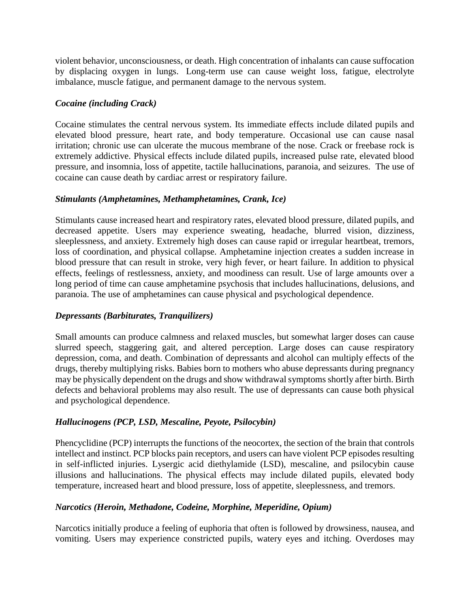violent behavior, unconsciousness, or death. High concentration of inhalants can cause suffocation by displacing oxygen in lungs. Long-term use can cause weight loss, fatigue, electrolyte imbalance, muscle fatigue, and permanent damage to the nervous system.

## *Cocaine (including Crack)*

Cocaine stimulates the central nervous system. Its immediate effects include dilated pupils and elevated blood pressure, heart rate, and body temperature. Occasional use can cause nasal irritation; chronic use can ulcerate the mucous membrane of the nose. Crack or freebase rock is extremely addictive. Physical effects include dilated pupils, increased pulse rate, elevated blood pressure, and insomnia, loss of appetite, tactile hallucinations, paranoia, and seizures. The use of cocaine can cause death by cardiac arrest or respiratory failure.

#### *Stimulants (Amphetamines, Methamphetamines, Crank, Ice)*

Stimulants cause increased heart and respiratory rates, elevated blood pressure, dilated pupils, and decreased appetite. Users may experience sweating, headache, blurred vision, dizziness, sleeplessness, and anxiety. Extremely high doses can cause rapid or irregular heartbeat, tremors, loss of coordination, and physical collapse. Amphetamine injection creates a sudden increase in blood pressure that can result in stroke, very high fever, or heart failure. In addition to physical effects, feelings of restlessness, anxiety, and moodiness can result. Use of large amounts over a long period of time can cause amphetamine psychosis that includes hallucinations, delusions, and paranoia. The use of amphetamines can cause physical and psychological dependence.

## *Depressants (Barbiturates, Tranquilizers)*

Small amounts can produce calmness and relaxed muscles, but somewhat larger doses can cause slurred speech, staggering gait, and altered perception. Large doses can cause respiratory depression, coma, and death. Combination of depressants and alcohol can multiply effects of the drugs, thereby multiplying risks. Babies born to mothers who abuse depressants during pregnancy may be physically dependent on the drugs and show withdrawal symptoms shortly after birth. Birth defects and behavioral problems may also result. The use of depressants can cause both physical and psychological dependence.

## *Hallucinogens (PCP, LSD, Mescaline, Peyote, Psilocybin)*

Phencyclidine (PCP) interrupts the functions of the neocortex, the section of the brain that controls intellect and instinct. PCP blocks pain receptors, and users can have violent PCP episodes resulting in self-inflicted injuries. Lysergic acid diethylamide (LSD), mescaline, and psilocybin cause illusions and hallucinations. The physical effects may include dilated pupils, elevated body temperature, increased heart and blood pressure, loss of appetite, sleeplessness, and tremors.

## *Narcotics (Heroin, Methadone, Codeine, Morphine, Meperidine, Opium)*

Narcotics initially produce a feeling of euphoria that often is followed by drowsiness, nausea, and vomiting. Users may experience constricted pupils, watery eyes and itching. Overdoses may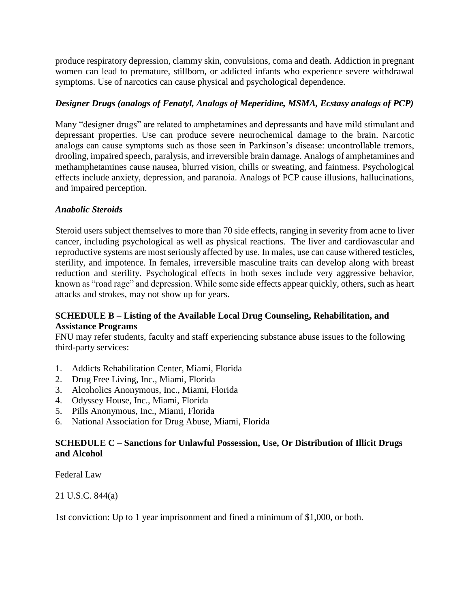produce respiratory depression, clammy skin, convulsions, coma and death. Addiction in pregnant women can lead to premature, stillborn, or addicted infants who experience severe withdrawal symptoms. Use of narcotics can cause physical and psychological dependence.

# *Designer Drugs (analogs of Fenatyl, Analogs of Meperidine, MSMA, Ecstasy analogs of PCP)*

Many "designer drugs" are related to amphetamines and depressants and have mild stimulant and depressant properties. Use can produce severe neurochemical damage to the brain. Narcotic analogs can cause symptoms such as those seen in Parkinson's disease: uncontrollable tremors, drooling, impaired speech, paralysis, and irreversible brain damage. Analogs of amphetamines and methamphetamines cause nausea, blurred vision, chills or sweating, and faintness. Psychological effects include anxiety, depression, and paranoia. Analogs of PCP cause illusions, hallucinations, and impaired perception.

# *Anabolic Steroids*

Steroid users subject themselves to more than 70 side effects, ranging in severity from acne to liver cancer, including psychological as well as physical reactions. The liver and cardiovascular and reproductive systems are most seriously affected by use. In males, use can cause withered testicles, sterility, and impotence. In females, irreversible masculine traits can develop along with breast reduction and sterility. Psychological effects in both sexes include very aggressive behavior, known as "road rage" and depression. While some side effects appear quickly, others, such as heart attacks and strokes, may not show up for years.

## **SCHEDULE B** – **Listing of the Available Local Drug Counseling, Rehabilitation, and Assistance Programs**

FNU may refer students, faculty and staff experiencing substance abuse issues to the following third-party services:

- 1. Addicts Rehabilitation Center, Miami, Florida
- 2. Drug Free Living, Inc., Miami, Florida
- 3. Alcoholics Anonymous, Inc., Miami, Florida
- 4. Odyssey House, Inc., Miami, Florida
- 5. Pills Anonymous, Inc., Miami, Florida
- 6. National Association for Drug Abuse, Miami, Florida

## **SCHEDULE C – Sanctions for Unlawful Possession, Use, Or Distribution of Illicit Drugs and Alcohol**

Federal Law

21 U.S.C. 844(a)

1st conviction: Up to 1 year imprisonment and fined a minimum of \$1,000, or both.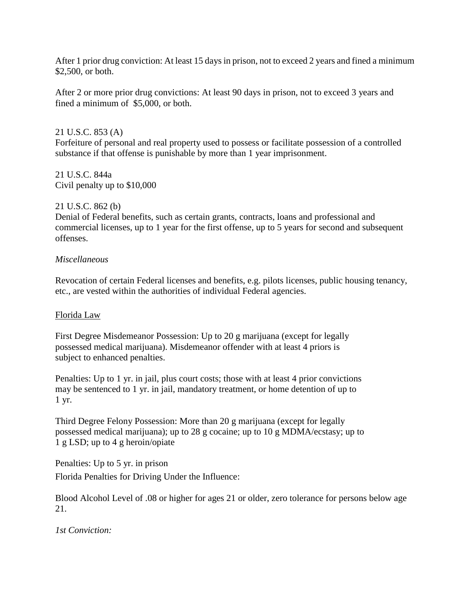After 1 prior drug conviction: At least 15 days in prison, not to exceed 2 years and fined a minimum \$2,500, or both.

After 2 or more prior drug convictions: At least 90 days in prison, not to exceed 3 years and fined a minimum of \$5,000, or both.

21 U.S.C. 853 (A)

Forfeiture of personal and real property used to possess or facilitate possession of a controlled substance if that offense is punishable by more than 1 year imprisonment.

21 U.S.C. 844a Civil penalty up to \$10,000

#### 21 U.S.C. 862 (b)

Denial of Federal benefits, such as certain grants, contracts, loans and professional and commercial licenses, up to 1 year for the first offense, up to 5 years for second and subsequent offenses.

#### *Miscellaneous*

Revocation of certain Federal licenses and benefits, e.g. pilots licenses, public housing tenancy, etc., are vested within the authorities of individual Federal agencies.

## Florida Law

First Degree Misdemeanor Possession: Up to 20 g marijuana (except for legally possessed medical marijuana). Misdemeanor offender with at least 4 priors is subject to enhanced penalties.

Penalties: Up to 1 yr. in jail, plus court costs; those with at least 4 prior convictions may be sentenced to 1 yr. in jail, mandatory treatment, or home detention of up to 1 yr.

Third Degree Felony Possession: More than 20 g marijuana (except for legally possessed medical marijuana); up to 28 g cocaine; up to 10 g MDMA/ecstasy; up to 1 g LSD; up to 4 g heroin/opiate

Penalties: Up to 5 yr. in prison Florida Penalties for Driving Under the Influence:

Blood Alcohol Level of .08 or higher for ages 21 or older, zero tolerance for persons below age 21.

*1st Conviction:*